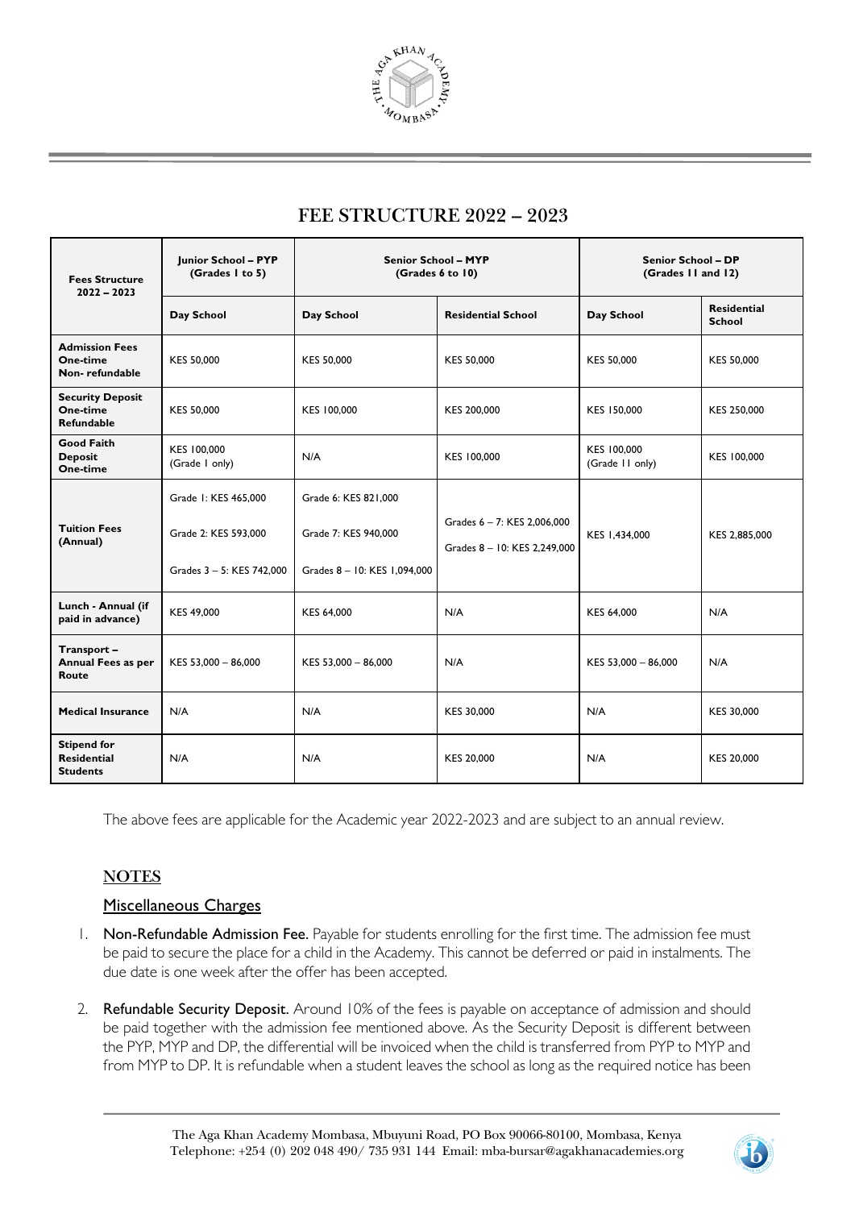

# **FEE STRUCTURE 2022 – 2023**

| <b>Fees Structure</b><br>$2022 - 2023$                      | Junior School - PYP<br>(Grades I to 5)                                    | <b>Senior School - MYP</b><br>(Grades 6 to 10)                               |                                                             | <b>Senior School - DP</b><br>(Grades II and 12) |                                     |
|-------------------------------------------------------------|---------------------------------------------------------------------------|------------------------------------------------------------------------------|-------------------------------------------------------------|-------------------------------------------------|-------------------------------------|
|                                                             | Day School                                                                | Day School                                                                   | <b>Residential School</b>                                   | Day School                                      | <b>Residential</b><br><b>School</b> |
| <b>Admission Fees</b><br>One-time<br>Non-refundable         | KES 50,000                                                                | <b>KES 50,000</b>                                                            | <b>KES 50,000</b>                                           | KES 50,000                                      | KES 50,000                          |
| <b>Security Deposit</b><br>One-time<br>Refundable           | KES 50,000                                                                | KES 100,000                                                                  | KES 200,000                                                 | KES 150,000                                     | KES 250,000                         |
| <b>Good Faith</b><br><b>Deposit</b><br>One-time             | KES 100,000<br>(Grade I only)                                             | N/A                                                                          | KES 100,000                                                 | KES 100,000<br>(Grade II only)                  | KES 100,000                         |
| <b>Tuition Fees</b><br>(Annual)                             | Grade 1: KES 465,000<br>Grade 2: KES 593,000<br>Grades 3 - 5: KES 742,000 | Grade 6: KES 821,000<br>Grade 7: KES 940,000<br>Grades 8 - 10: KES 1,094,000 | Grades 6 - 7: KES 2,006,000<br>Grades 8 - 10: KES 2.249.000 | KES 1,434,000                                   | KES 2,885,000                       |
| Lunch - Annual (if<br>paid in advance)                      | KES 49,000                                                                | KES 64,000                                                                   | N/A                                                         | KES 64,000                                      | N/A                                 |
| Transport-<br>Annual Fees as per<br>Route                   | KES 53,000 - 86,000                                                       | KES 53,000 - 86,000                                                          | N/A                                                         | KES 53,000 - 86,000                             | N/A                                 |
| <b>Medical Insurance</b>                                    | N/A                                                                       | N/A                                                                          | KES 30,000                                                  | N/A                                             | KES 30,000                          |
| <b>Stipend for</b><br><b>Residential</b><br><b>Students</b> | N/A                                                                       | N/A                                                                          | KES 20,000                                                  | N/A                                             | KES 20,000                          |

The above fees are applicable for the Academic year 2022-2023 and are subject to an annual review.

### **NOTES**

#### Miscellaneous Charges

- 1. Non-Refundable Admission Fee. Payable for students enrolling for the first time. The admission fee must be paid to secure the place for a child in the Academy. This cannot be deferred or paid in instalments. The due date is one week after the offer has been accepted.
- 2. Refundable Security Deposit. Around 10% of the fees is payable on acceptance of admission and should be paid together with the admission fee mentioned above. As the Security Deposit is different between the PYP, MYP and DP, the differential will be invoiced when the child is transferred from PYP to MYP and from MYP to DP. It is refundable when a student leaves the school as long as the required notice has been

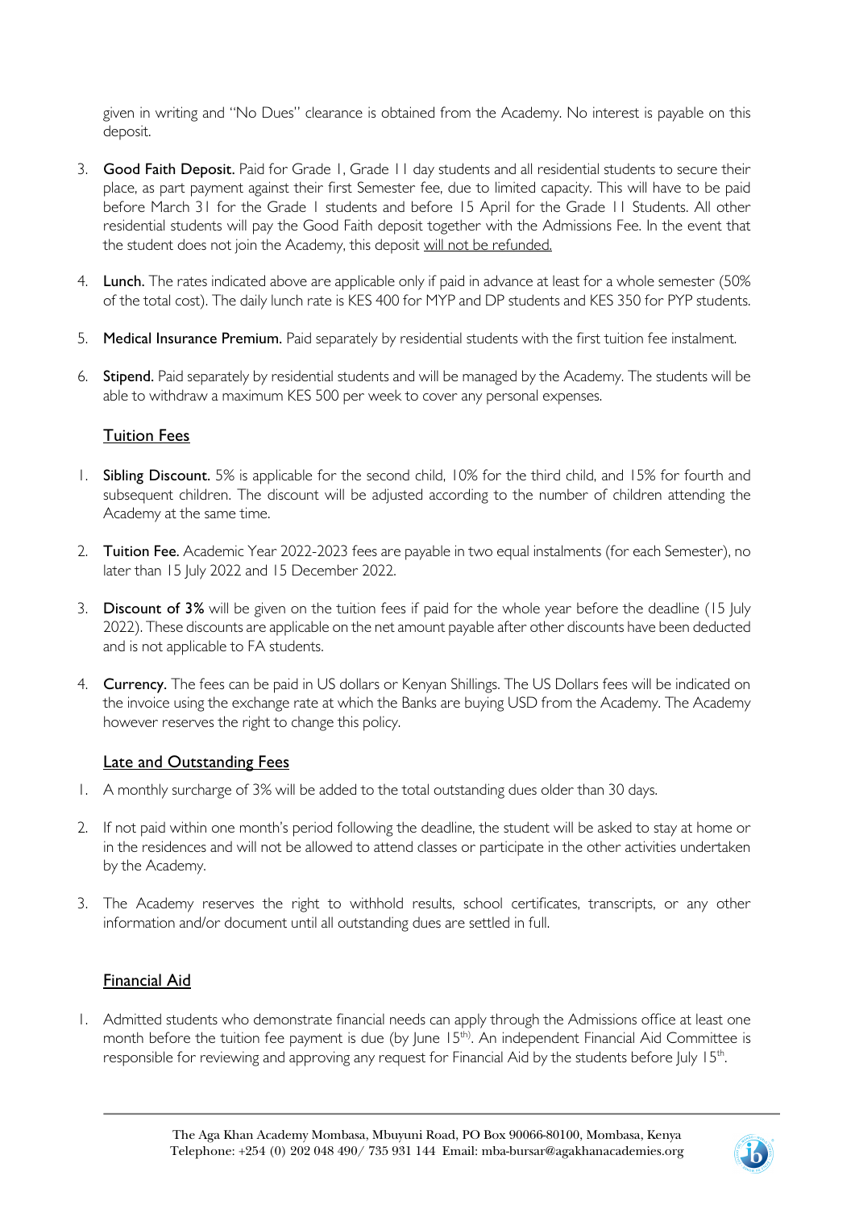given in writing and "No Dues" clearance is obtained from the Academy. No interest is payable on this deposit.

- 3. Good Faith Deposit. Paid for Grade 1, Grade 11 day students and all residential students to secure their place, as part payment against their first Semester fee, due to limited capacity. This will have to be paid before March 31 for the Grade 1 students and before 15 April for the Grade 11 Students. All other residential students will pay the Good Faith deposit together with the Admissions Fee. In the event that the student does not join the Academy, this deposit will not be refunded.
- 4. Lunch. The rates indicated above are applicable only if paid in advance at least for a whole semester (50% of the total cost). The daily lunch rate is KES 400 for MYP and DP students and KES 350 for PYP students.
- 5. Medical Insurance Premium. Paid separately by residential students with the first tuition fee instalment.
- 6. Stipend. Paid separately by residential students and will be managed by the Academy. The students will be able to withdraw a maximum KES 500 per week to cover any personal expenses.

### Tuition Fees

- 1. Sibling Discount. 5% is applicable for the second child, 10% for the third child, and 15% for fourth and subsequent children. The discount will be adjusted according to the number of children attending the Academy at the same time.
- 2. Tuition Fee. Academic Year 2022-2023 fees are payable in two equal instalments (for each Semester), no later than 15 July 2022 and 15 December 2022.
- 3. Discount of 3% will be given on the tuition fees if paid for the whole year before the deadline (15 July 2022). These discounts are applicable on the net amount payable after other discounts have been deducted and is not applicable to FA students.
- 4. Currency. The fees can be paid in US dollars or Kenyan Shillings. The US Dollars fees will be indicated on the invoice using the exchange rate at which the Banks are buying USD from the Academy. The Academy however reserves the right to change this policy.

### Late and Outstanding Fees

- 1. A monthly surcharge of 3% will be added to the total outstanding dues older than 30 days.
- 2. If not paid within one month's period following the deadline, the student will be asked to stay at home or in the residences and will not be allowed to attend classes or participate in the other activities undertaken by the Academy.
- 3. The Academy reserves the right to withhold results, school certificates, transcripts, or any other information and/or document until all outstanding dues are settled in full.

### Financial Aid

1. Admitted students who demonstrate financial needs can apply through the Admissions office at least one month before the tuition fee payment is due (by June 15<sup>th)</sup>. An independent Financial Aid Committee is responsible for reviewing and approving any request for Financial Aid by the students before July 15th.